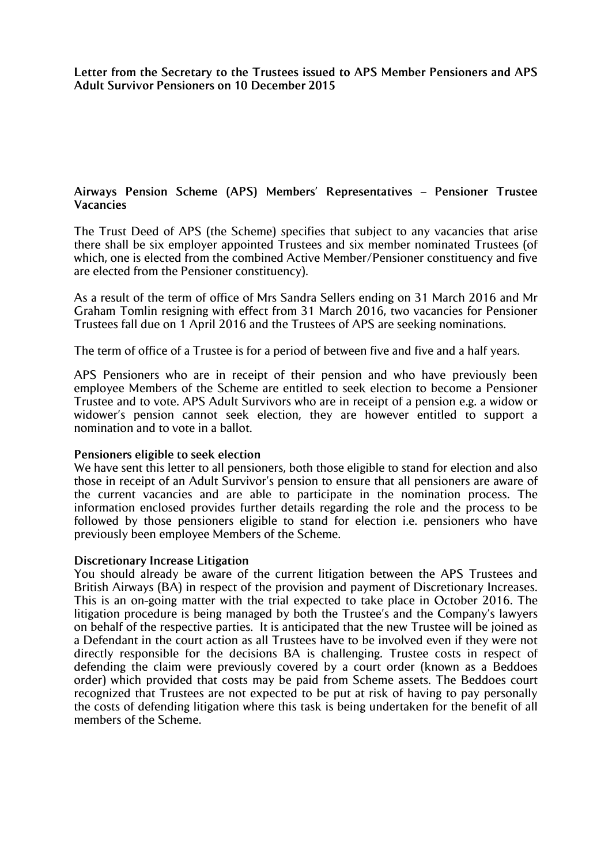**Letter from the Secretary to the Trustees issued to APS Member Pensioners and APS Adult Survivor Pensioners on 10 December 2015**

# **Airways Pension Scheme (APS) Members' Representatives – Pensioner Trustee Vacancies**

The Trust Deed of APS (the Scheme) specifies that subject to any vacancies that arise there shall be six employer appointed Trustees and six member nominated Trustees (of which, one is elected from the combined Active Member/Pensioner constituency and five are elected from the Pensioner constituency).

As a result of the term of office of Mrs Sandra Sellers ending on 31 March 2016 and Mr Graham Tomlin resigning with effect from 31 March 2016, two vacancies for Pensioner Trustees fall due on 1 April 2016 and the Trustees of APS are seeking nominations.

The term of office of a Trustee is for a period of between five and five and a half years.

APS Pensioners who are in receipt of their pension and who have previously been employee Members of the Scheme are entitled to seek election to become a Pensioner Trustee and to vote. APS Adult Survivors who are in receipt of a pension e.g. a widow or widower's pension cannot seek election, they are however entitled to support a nomination and to vote in a ballot.

## **Pensioners eligible to seek election**

We have sent this letter to all pensioners, both those eligible to stand for election and also those in receipt of an Adult Survivor's pension to ensure that all pensioners are aware of the current vacancies and are able to participate in the nomination process. The information enclosed provides further details regarding the role and the process to be followed by those pensioners eligible to stand for election i.e. pensioners who have previously been employee Members of the Scheme.

## **Discretionary Increase Litigation**

You should already be aware of the current litigation between the APS Trustees and British Airways (BA) in respect of the provision and payment of Discretionary Increases. This is an on-going matter with the trial expected to take place in October 2016. The litigation procedure is being managed by both the Trustee's and the Company's lawyers on behalf of the respective parties. It is anticipated that the new Trustee will be joined as a Defendant in the court action as all Trustees have to be involved even if they were not directly responsible for the decisions BA is challenging. Trustee costs in respect of defending the claim were previously covered by a court order (known as a Beddoes order) which provided that costs may be paid from Scheme assets. The Beddoes court recognized that Trustees are not expected to be put at risk of having to pay personally the costs of defending litigation where this task is being undertaken for the benefit of all members of the Scheme.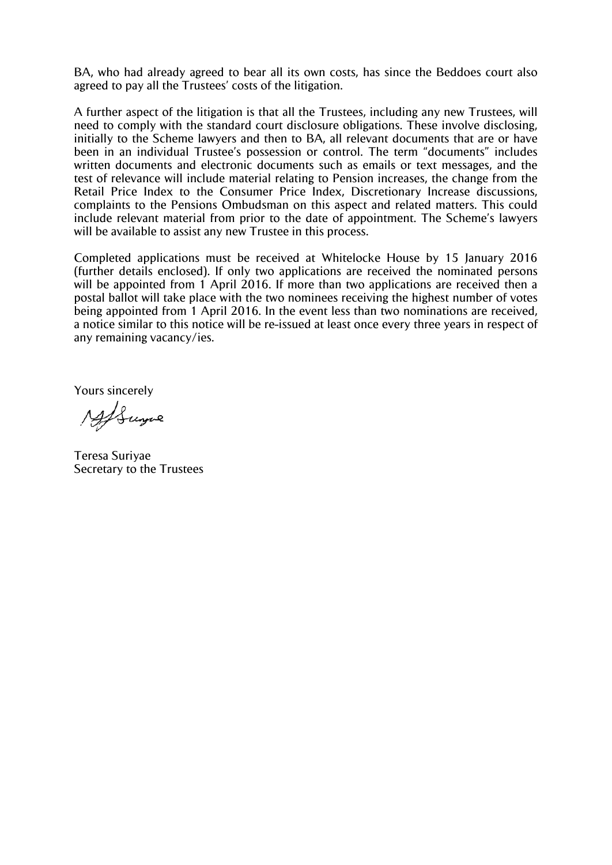BA, who had already agreed to bear all its own costs, has since the Beddoes court also agreed to pay all the Trustees' costs of the litigation.

A further aspect of the litigation is that all the Trustees, including any new Trustees, will need to comply with the standard court disclosure obligations. These involve disclosing, initially to the Scheme lawyers and then to BA, all relevant documents that are or have been in an individual Trustee's possession or control. The term "documents" includes written documents and electronic documents such as emails or text messages, and the test of relevance will include material relating to Pension increases, the change from the Retail Price Index to the Consumer Price Index, Discretionary Increase discussions, complaints to the Pensions Ombudsman on this aspect and related matters. This could include relevant material from prior to the date of appointment. The Scheme's lawyers will be available to assist any new Trustee in this process.

Completed applications must be received at Whitelocke House by 15 January 2016 (further details enclosed). If only two applications are received the nominated persons will be appointed from 1 April 2016. If more than two applications are received then a postal ballot will take place with the two nominees receiving the highest number of votes being appointed from 1 April 2016. In the event less than two nominations are received, a notice similar to this notice will be re-issued at least once every three years in respect of any remaining vacancy/ies.

Yours sincerely

AfSume

Teresa Suriyae Secretary to the Trustees